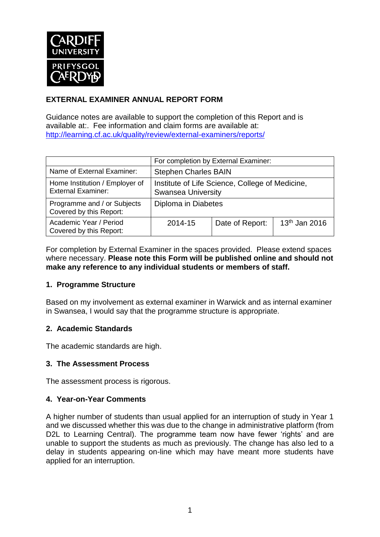

## **EXTERNAL EXAMINER ANNUAL REPORT FORM**

Guidance notes are available to support the completion of this Report and is available at:. Fee information and claim forms are available at: <http://learning.cf.ac.uk/quality/review/external-examiners/reports/>

|                                                             | For completion by External Examiner:                                         |                 |                 |  |  |
|-------------------------------------------------------------|------------------------------------------------------------------------------|-----------------|-----------------|--|--|
| Name of External Examiner:                                  | <b>Stephen Charles BAIN</b>                                                  |                 |                 |  |  |
| Home Institution / Employer of<br><b>External Examiner:</b> | Institute of Life Science, College of Medicine,<br><b>Swansea University</b> |                 |                 |  |  |
| Programme and / or Subjects<br>Covered by this Report:      | Diploma in Diabetes                                                          |                 |                 |  |  |
| Academic Year / Period<br>Covered by this Report:           | 2014-15                                                                      | Date of Report: | $13th$ Jan 2016 |  |  |

For completion by External Examiner in the spaces provided. Please extend spaces where necessary. **Please note this Form will be published online and should not make any reference to any individual students or members of staff.**

#### **1. Programme Structure**

Based on my involvement as external examiner in Warwick and as internal examiner in Swansea, I would say that the programme structure is appropriate.

#### **2. Academic Standards**

The academic standards are high.

#### **3. The Assessment Process**

The assessment process is rigorous.

#### **4. Year-on-Year Comments**

A higher number of students than usual applied for an interruption of study in Year 1 and we discussed whether this was due to the change in administrative platform (from D2L to Learning Central). The programme team now have fewer 'rights' and are unable to support the students as much as previously. The change has also led to a delay in students appearing on-line which may have meant more students have applied for an interruption.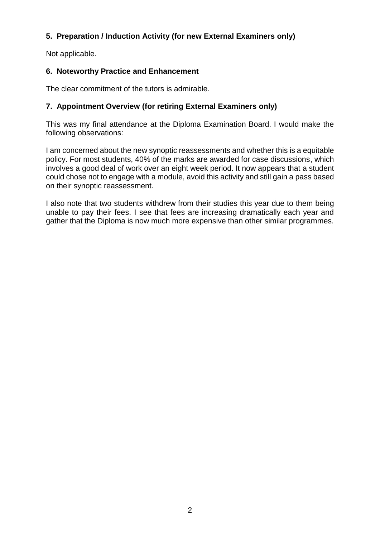## **5. Preparation / Induction Activity (for new External Examiners only)**

Not applicable.

## **6. Noteworthy Practice and Enhancement**

The clear commitment of the tutors is admirable.

## **7. Appointment Overview (for retiring External Examiners only)**

This was my final attendance at the Diploma Examination Board. I would make the following observations:

I am concerned about the new synoptic reassessments and whether this is a equitable policy. For most students, 40% of the marks are awarded for case discussions, which involves a good deal of work over an eight week period. It now appears that a student could chose not to engage with a module, avoid this activity and still gain a pass based on their synoptic reassessment.

I also note that two students withdrew from their studies this year due to them being unable to pay their fees. I see that fees are increasing dramatically each year and gather that the Diploma is now much more expensive than other similar programmes.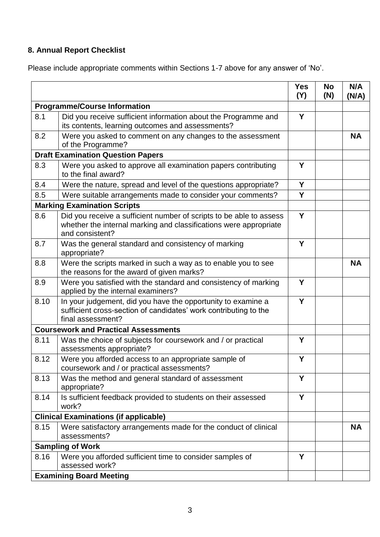# **8. Annual Report Checklist**

Please include appropriate comments within Sections 1-7 above for any answer of 'No'.

|                                              |                                                                                                                                                             | <b>Yes</b><br>(Y) | <b>No</b><br>(N) | N/A<br>(N/A) |
|----------------------------------------------|-------------------------------------------------------------------------------------------------------------------------------------------------------------|-------------------|------------------|--------------|
| <b>Programme/Course Information</b>          |                                                                                                                                                             |                   |                  |              |
| 8.1                                          | Did you receive sufficient information about the Programme and<br>its contents, learning outcomes and assessments?                                          |                   |                  |              |
| 8.2                                          | Were you asked to comment on any changes to the assessment<br>of the Programme?                                                                             |                   |                  | <b>NA</b>    |
| <b>Draft Examination Question Papers</b>     |                                                                                                                                                             |                   |                  |              |
| 8.3                                          | Were you asked to approve all examination papers contributing<br>to the final award?                                                                        | Y                 |                  |              |
| 8.4                                          | Were the nature, spread and level of the questions appropriate?                                                                                             | Y                 |                  |              |
| 8.5                                          | Were suitable arrangements made to consider your comments?                                                                                                  | Y                 |                  |              |
|                                              | <b>Marking Examination Scripts</b>                                                                                                                          |                   |                  |              |
| 8.6                                          | Did you receive a sufficient number of scripts to be able to assess<br>whether the internal marking and classifications were appropriate<br>and consistent? | Y                 |                  |              |
| 8.7                                          | Was the general standard and consistency of marking<br>appropriate?                                                                                         | Y                 |                  |              |
| 8.8                                          | Were the scripts marked in such a way as to enable you to see<br>the reasons for the award of given marks?                                                  |                   |                  | <b>NA</b>    |
| 8.9                                          | Were you satisfied with the standard and consistency of marking<br>applied by the internal examiners?                                                       | Y                 |                  |              |
| 8.10                                         | In your judgement, did you have the opportunity to examine a<br>sufficient cross-section of candidates' work contributing to the<br>final assessment?       | Y                 |                  |              |
| <b>Coursework and Practical Assessments</b>  |                                                                                                                                                             |                   |                  |              |
| 8.11                                         | Was the choice of subjects for coursework and / or practical<br>assessments appropriate?                                                                    | Y                 |                  |              |
| 8.12                                         | Were you afforded access to an appropriate sample of<br>coursework and / or practical assessments?                                                          | Y                 |                  |              |
| 8.13                                         | Was the method and general standard of assessment<br>appropriate?                                                                                           | Y                 |                  |              |
| 8.14                                         | Is sufficient feedback provided to students on their assessed<br>work?                                                                                      | Y                 |                  |              |
| <b>Clinical Examinations (if applicable)</b> |                                                                                                                                                             |                   |                  |              |
| 8.15                                         | Were satisfactory arrangements made for the conduct of clinical<br>assessments?                                                                             |                   |                  | <b>NA</b>    |
|                                              | <b>Sampling of Work</b>                                                                                                                                     |                   |                  |              |
| 8.16                                         | Were you afforded sufficient time to consider samples of<br>assessed work?                                                                                  | Y                 |                  |              |
|                                              | <b>Examining Board Meeting</b>                                                                                                                              |                   |                  |              |